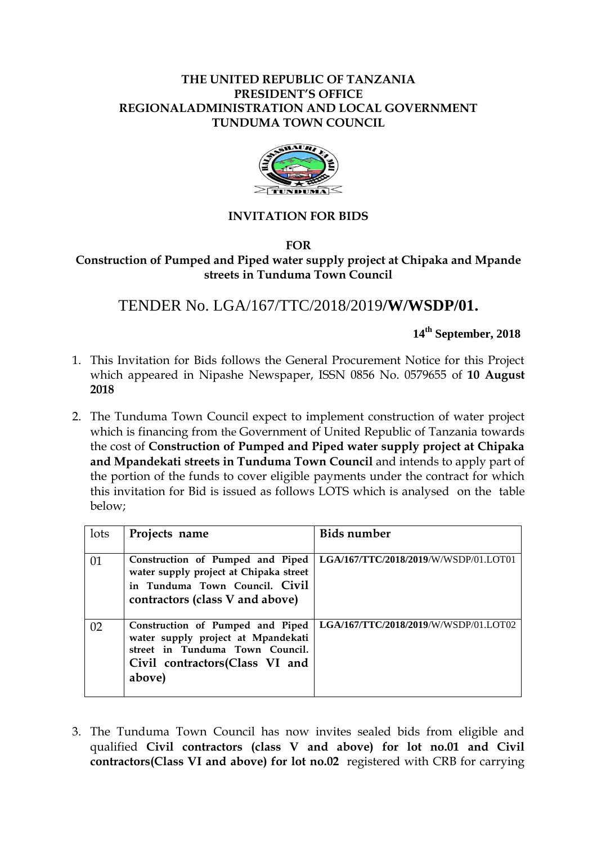## **THE UNITED REPUBLIC OF TANZANIA PRESIDENT'S OFFICE REGIONALADMINISTRATION AND LOCAL GOVERNMENT TUNDUMA TOWN COUNCIL**



### **INVITATION FOR BIDS**

#### **FOR Construction of Pumped and Piped water supply project at Chipaka and Mpande streets in Tunduma Town Council**

# TENDER No. LGA/167/TTC/2018/2019**/W/WSDP/01.**

 **14th September, 2018**

- 1. This Invitation for Bids follows the General Procurement Notice for this Project which appeared in Nipashe Newspaper, ISSN 0856 No. 0579655 of **10 August 2018**
- 2. The Tunduma Town Council expect to implement construction of water project which is financing from the Government of United Republic of Tanzania towards the cost of **Construction of Pumped and Piped water supply project at Chipaka and Mpandekati streets in Tunduma Town Council** and intends to apply part of the portion of the funds to cover eligible payments under the contract for which this invitation for Bid is issued as follows LOTS which is analysed on the table below;

| lots | Projects name                                                                                                                                          | <b>Bids number</b>                    |
|------|--------------------------------------------------------------------------------------------------------------------------------------------------------|---------------------------------------|
| 01   | Construction of Pumped and Piped<br>water supply project at Chipaka street<br>in Tunduma Town Council. Civil<br>contractors (class V and above)        | LGA/167/TTC/2018/2019/W/WSDP/01.LOT01 |
| 02   | Construction of Pumped and Piped<br>water supply project at Mpandekati<br>street in Tunduma Town Council.<br>Civil contractors (Class VI and<br>above) | LGA/167/TTC/2018/2019/W/WSDP/01.LOT02 |

3. The Tunduma Town Council has now invites sealed bids from eligible and qualified **Civil contractors (class V and above) for lot no.01 and Civil contractors(Class VI and above) for lot no.02** registered with CRB for carrying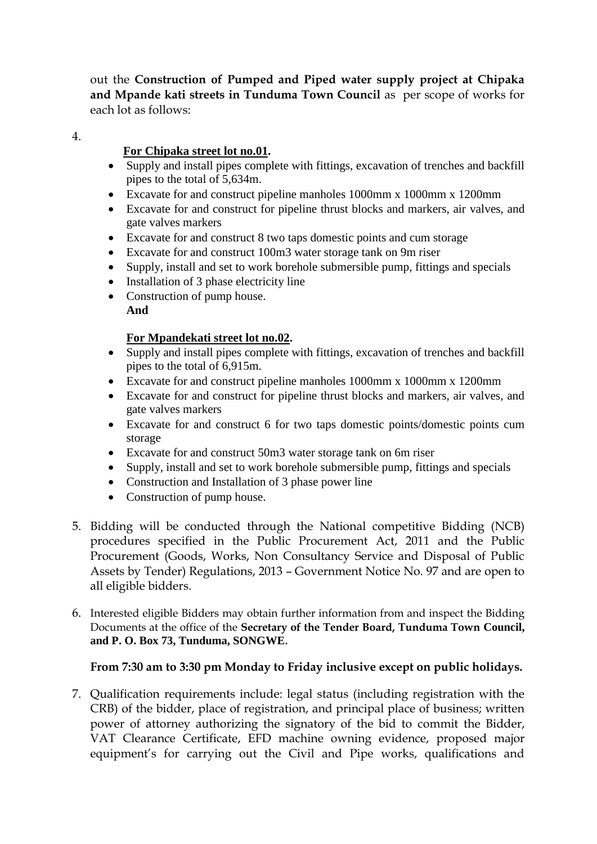out the **Construction of Pumped and Piped water supply project at Chipaka and Mpande kati streets in Tunduma Town Council** as per scope of works for each lot as follows:

4.

# **For Chipaka street lot no.01.**

- Supply and install pipes complete with fittings, excavation of trenches and backfill pipes to the total of 5,634m.
- Excavate for and construct pipeline manholes 1000mm x 1000mm x 1200mm
- Excavate for and construct for pipeline thrust blocks and markers, air valves, and gate valves markers
- Excavate for and construct 8 two taps domestic points and cum storage
- Excavate for and construct 100m3 water storage tank on 9m riser
- Supply, install and set to work borehole submersible pump, fittings and specials
- $\bullet$  Installation of 3 phase electricity line
- Construction of pump house. **And**

## **For Mpandekati street lot no.02.**

- Supply and install pipes complete with fittings, excavation of trenches and backfill pipes to the total of 6,915m.
- Excavate for and construct pipeline manholes 1000mm x 1000mm x 1200mm
- Excavate for and construct for pipeline thrust blocks and markers, air valves, and gate valves markers
- Excavate for and construct 6 for two taps domestic points/domestic points cum storage
- Excavate for and construct 50m3 water storage tank on 6m riser
- Supply, install and set to work borehole submersible pump, fittings and specials
- Construction and Installation of 3 phase power line
- Construction of pump house.
- 5. Bidding will be conducted through the National competitive Bidding (NCB) procedures specified in the Public Procurement Act, 2011 and the Public Procurement (Goods, Works, Non Consultancy Service and Disposal of Public Assets by Tender) Regulations, 2013 – Government Notice No. 97 and are open to all eligible bidders.
- 6. Interested eligible Bidders may obtain further information from and inspect the Bidding Documents at the office of the **Secretary of the Tender Board, Tunduma Town Council, and P. O. Box 73, Tunduma, SONGWE.**

# **From 7:30 am to 3:30 pm Monday to Friday inclusive except on public holidays.**

7. Qualification requirements include: legal status (including registration with the CRB) of the bidder, place of registration, and principal place of business; written power of attorney authorizing the signatory of the bid to commit the Bidder, VAT Clearance Certificate, EFD machine owning evidence, proposed major equipment's for carrying out the Civil and Pipe works, qualifications and